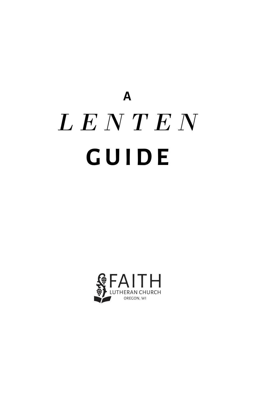# **A** *L E N T E N* **GUIDE**

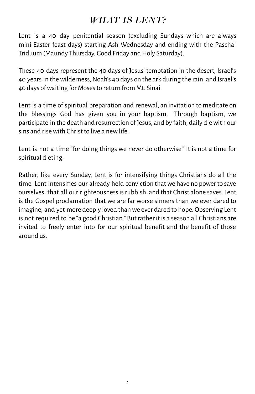# *WHAT IS LENT?*

Lent is a 40 day penitential season (excluding Sundays which are always mini-Easter feast days) starting Ash Wednesday and ending with the Paschal Triduum (Maundy Thursday, Good Friday and Holy Saturday).

These 40 days represent the 40 days of Jesus' temptation in the desert, Israel's 40 years in the wilderness, Noah's 40 days on the ark during the rain, and Israel's 40 days ofwaiting for Mosesto return from Mt. Sinai.

Lent is a time of spiritual preparation and renewal, an invitation to meditate on the blessings God has given you in your baptism. Through baptism, we participate in the death and resurrection of Jesus, and by faith, daily diewith our sins and risewith Christ to live a newlife.

Lent is not a time "for doing things we never do otherwise." It is not a time for spiritual dieting.

Rather, like every Sunday, Lent is for intensifying things Christians do all the time. Lent intensifies our already held conviction that we have no power to save ourselves, that all our righteousnessisrubbish, and that Christ alone saves. Lent is the Gospel proclamation that we are far worse sinners than we ever dared to imagine, and yet more deeply loved than we ever dared to hope. Observing Lent is not required to be "a good Christian." But rather it is a season all Christians are invited to freely enter into for our spiritual benefit and the benefit of those around us.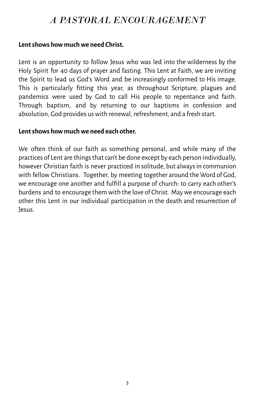# *A PASTORAL ENCOURAGEMENT*

#### **Lentshows how muchwe need Christ.**

Lent is an opportunity to follow Jesus who was led into the wilderness by the Holy Spirit for 40 days of prayer and fasting. This Lent at Faith, we are inviting the Spirit to lead us God's Word and be increasingly conformed to His image. This is particularly fitting this year, as throughout Scripture, plagues and pandemics were used by God to call His people to repentance and faith. Through baptism, and by returning to our baptisms in confession and absolution, God provides us with renewal, refreshment, and a fresh start.

## **Lentshows how muchwe need each other.**

We often think of our faith as something personal, and while many of the practices of Lent are things that can't be done except by each person individually, however Christian faith is never practiced in solitude, but always in communion with fellow Christians. Together, by meeting together around the Word of God, we encourage one another and fulfill a purpose of church: to carry each other's burdens and to encourage them with the love of Christ. Maywe encourage each other this Lent in our individual participation in the death and resurrection of Jesus.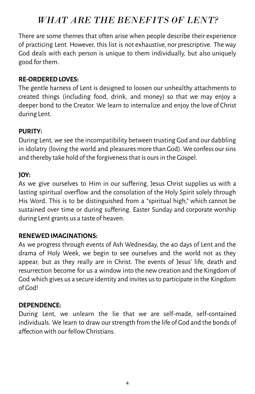# *WHAT ARE THE BENEFITS OF LENT?*

There are some themes that often arise when people describe their experience of practicing Lent. However, this list is not exhaustive, nor prescriptive. Theway God deals with each person is unique to them individually, but also uniquely good for them.

## **RE-ORDEREDLOVES:**

The gentle harness of Lent is designed to loosen our unhealthy attachments to created things (including food, drink, and money) so that we may enjoy a deeper bond to the Creator. We learn to internalize and enjoy the love of Christ during Lent.

## **PURITY:**

During Lent, we see the incompatibility between trusting God and our dabbling in idolatry (loving the world and pleasures more than God). We confess oursins and thereby take hold of the forgiveness that is ours in the Gospel.

## **JOY:**

As we give ourselves to Him in our suffering, Jesus Christ supplies us with a lasting spiritual overflow and the consolation of the Holy Spirit solely through His Word. This is to be distinguished from a "spiritual high," which cannot be sustained over time or during suffering. Easter Sunday and corporate worship during Lent grants us a taste of heaven.

## **RENEWEDIMAGINATIONS:**

As we progress through events of Ash Wednesday, the 40 days of Lent and the drama of Holy Week, we begin to see ourselves and the world not as they appear, but as they really are in Christ. The events of Jesus' life, death and resurrection become for us a window into the newcreation and the Kingdom of God which gives us a secure identity and invites us to participate in the Kingdom of God!

#### **DEPENDENCE:**

During Lent, we unlearn the lie that we are self-made, self-contained individuals. We learn to draw ourstrength from the life of God and the bonds of affectionwith our fellowChristians.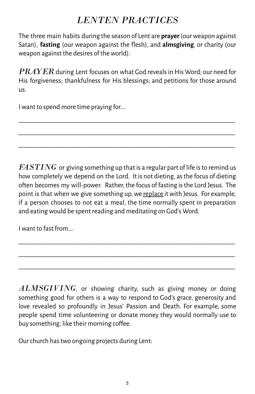# *LENTEN PRACTICES*

The three main habits during the season of Lent are **prayer**(ourweapon against Satan), **fasting** (our weapon against the flesh), and **almsgiving**, or charity (our weapon against the desires of theworld).

 $PRAYER$  during Lent focuses on what God reveals in His Word; our need for His forgiveness; thankfulness for His blessings; and petitions for those around us.

\_\_\_\_\_\_\_\_\_\_\_\_\_\_\_\_\_\_\_\_\_\_\_\_\_\_\_\_\_\_\_\_\_\_\_\_\_\_\_\_\_\_\_\_\_\_\_\_\_\_\_\_\_\_\_\_\_\_\_\_\_\_\_\_\_\_\_\_ \_\_\_\_\_\_\_\_\_\_\_\_\_\_\_\_\_\_\_\_\_\_\_\_\_\_\_\_\_\_\_\_\_\_\_\_\_\_\_\_\_\_\_\_\_\_\_\_\_\_\_\_\_\_\_\_\_\_\_\_\_\_\_\_\_\_\_\_ \_\_\_\_\_\_\_\_\_\_\_\_\_\_\_\_\_\_\_\_\_\_\_\_\_\_\_\_\_\_\_\_\_\_\_\_\_\_\_\_\_\_\_\_\_\_\_\_\_\_\_\_\_\_\_\_\_\_\_\_\_\_\_\_\_\_\_\_

Iwant to spend more time praying for….

*FASTING* or giving something up that is a regular part of life is to remind us how completely we depend on the Lord. It is not dieting, asthe focus of dieting often becomes my will-power. Rather, the focus of fasting isthe Lord Jesus. The point is that when we give something up, we replace it with Jesus. For example, if a person chooses to not eat a meal, the time normally spent in preparation and eatingwould be spent reading and meditating on God's Word.

\_\_\_\_\_\_\_\_\_\_\_\_\_\_\_\_\_\_\_\_\_\_\_\_\_\_\_\_\_\_\_\_\_\_\_\_\_\_\_\_\_\_\_\_\_\_\_\_\_\_\_\_\_\_\_\_\_\_\_\_\_\_\_\_\_\_\_\_ \_\_\_\_\_\_\_\_\_\_\_\_\_\_\_\_\_\_\_\_\_\_\_\_\_\_\_\_\_\_\_\_\_\_\_\_\_\_\_\_\_\_\_\_\_\_\_\_\_\_\_\_\_\_\_\_\_\_\_\_\_\_\_\_\_\_\_\_ \_\_\_\_\_\_\_\_\_\_\_\_\_\_\_\_\_\_\_\_\_\_\_\_\_\_\_\_\_\_\_\_\_\_\_\_\_\_\_\_\_\_\_\_\_\_\_\_\_\_\_\_\_\_\_\_\_\_\_\_\_\_\_\_\_\_\_\_

Iwant to fast from….

*ALMSGIVING*, or showing charity, such as giving money or doing something good for others is a way to respond to God's grace, generosity and love revealed so profoundly in Jesus' Passion and Death. For example, some people spend time volunteering or donate money they would normally use to buy something, like their morning coffee.

Our church has two ongoing projects during Lent: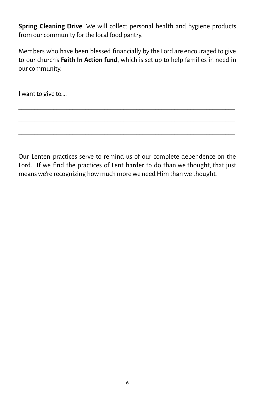**Spring Cleaning Drive**: We will collect personal health and hygiene products from our community for the local food pantry.

Members who have been blessed financially by the Lord are encouraged to give to our church's **Faith In Action fund**, which is set up to help families in need in our community.

\_\_\_\_\_\_\_\_\_\_\_\_\_\_\_\_\_\_\_\_\_\_\_\_\_\_\_\_\_\_\_\_\_\_\_\_\_\_\_\_\_\_\_\_\_\_\_\_\_\_\_\_\_\_\_\_\_\_\_\_\_\_\_\_\_\_\_\_ \_\_\_\_\_\_\_\_\_\_\_\_\_\_\_\_\_\_\_\_\_\_\_\_\_\_\_\_\_\_\_\_\_\_\_\_\_\_\_\_\_\_\_\_\_\_\_\_\_\_\_\_\_\_\_\_\_\_\_\_\_\_\_\_\_\_\_\_ \_\_\_\_\_\_\_\_\_\_\_\_\_\_\_\_\_\_\_\_\_\_\_\_\_\_\_\_\_\_\_\_\_\_\_\_\_\_\_\_\_\_\_\_\_\_\_\_\_\_\_\_\_\_\_\_\_\_\_\_\_\_\_\_\_\_\_\_

Iwant to give to….

Our Lenten practices serve to remind us of our complete dependence on the Lord. If we find the practices of Lent harder to do than we thought, that just means we're recognizing how much more we need Him than we thought.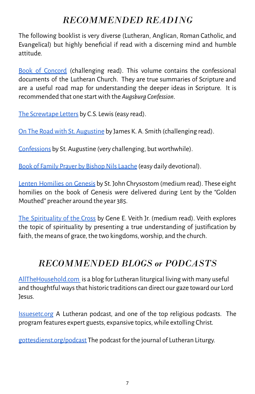# *RECOMMENDED READING*

The following booklist is very diverse (Lutheran, Anglican, Roman Catholic, and Evangelical) but highly beneficial if read with a discerning mind and humble attitude.

Book of [Concord](https://www.cph.org/p-11428-concordia-the-lutheran-confessions-a-readers-edition-of-the-book-of-concord-2nd-edition.aspx) (challenging read). This volume contains the confessional documents of the Lutheran Church. They are true summaries of Scripture and are a useful road map for understanding the deeper ideas in Scripture. It is recommended that one startwith the *Augsburg Confession*.

The [Screwtape](https://www.amazon.com/Screwtape-Letters-C-S-Lewis/dp/0060652934) Letters by C.S. Lewis (easy read).

On The Road with St. [Augustine](https://www.amazon.com/Road-Saint-Augustine-Real-World-Spirituality/dp/1587433893/ref=sr_1_1?crid=2SYYOO1RC179A&dchild=1&keywords=on+the+road+with+saint+augustine&qid=1613426969&s=books&sprefix=on+the+road+with+%2Cstripbooks%2C190&sr=1-1) by James K. A. Smith (challenging read).

[Confessions](https://www.amazon.com/Confessions-Saint-Augustine-dp-0872208168/dp/0872208168/ref=mt_other?_encoding=UTF8&me=&qid=1613427953) by St. Augustine (very challenging, but worthwhile).

Book of Family Prayer by Bishop Nils Laache (easy daily devotional).

Lenten [Homilies](https://www.amazon.com/Lenten-Homilies-Genesis-John-Chrysostom-ebook/dp/B0714B7X44/ref=sr_1_3?dchild=1&keywords=chrysostom+lent&qid=1613427250&s=digital-text&sr=1-3) on Genesis by St. John Chrysostom (medium read). These eight homilies on the book of Genesis were delivered during Lent by the "Golden Mouthed" preacher around the year 385.

The [Spirituality](https://www.cph.org/p-2262-the-spirituality-of-the-cross-expanded-revised.aspx) of the Cross by Gene E. Veith Jr. (medium read). Veith explores the topic of spirituality by presenting a true understanding of justification by faith, the means of grace, the two kingdoms, worship, and the church.

# *RECOMMENDED BLOGS or PODCASTS*

[AllTheHousehold.com](https://allthehousehold.com/) is a blog for Lutheran liturgical living with many useful and thoughtful ways that historic traditions can direct our gaze toward our Lord Jesus.

[Issuesetc.org](http://issuesetc.org) A Lutheran podcast, and one of the top religious podcasts. The program features expert guests, expansive topics,while extolling Christ.

[gottesdienst.org/podcast](https://www.gottesdienst.org/podcast) The podcast for the journal of Lutheran Liturgy.